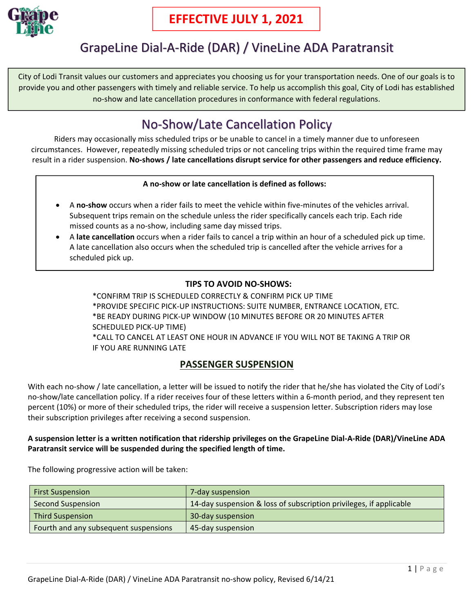

## GrapeLine Dial‐A‐Ride (DAR) / VineLine ADA Paratransit

City of Lodi Transit values our customers and appreciates you choosing us for your transportation needs. One of our goals is to provide you and other passengers with timely and reliable service. To help us accomplish this goal, City of Lodi has established no‐show and late cancellation procedures in conformance with federal regulations.

# No‐Show/Late Cancellation Policy

Riders may occasionally miss scheduled trips or be unable to cancel in a timely manner due to unforeseen circumstances. However, repeatedly missing scheduled trips or not canceling trips within the required time frame may result in a rider suspension. **No‐shows / late cancellations disrupt service for other passengers and reduce efficiency.**

#### **A no‐show or late cancellation is defined as follows:**

- A **no‐show** occurs when a rider fails to meet the vehicle within five‐minutes of the vehicles arrival. Subsequent trips remain on the schedule unless the rider specifically cancels each trip. Each ride missed counts as a no‐show, including same day missed trips.
- A **late cancellation** occurs when a rider fails to cancel a trip within an hour of a scheduled pick up time. A late cancellation also occurs when the scheduled trip is cancelled after the vehicle arrives for a scheduled pick up.

#### **TIPS TO AVOID NO‐SHOWS:**

\*CONFIRM TRIP IS SCHEDULED CORRECTLY & CONFIRM PICK UP TIME \*PROVIDE SPECIFIC PICK‐UP INSTRUCTIONS: SUITE NUMBER, ENTRANCE LOCATION, ETC. \*BE READY DURING PICK‐UP WINDOW (10 MINUTES BEFORE OR 20 MINUTES AFTER SCHEDULED PICK‐UP TIME) \*CALL TO CANCEL AT LEAST ONE HOUR IN ADVANCE IF YOU WILL NOT BE TAKING A TRIP OR IF YOU ARE RUNNING LATE

## **PASSENGER SUSPENSION**

With each no-show / late cancellation, a letter will be issued to notify the rider that he/she has violated the City of Lodi's no-show/late cancellation policy. If a rider receives four of these letters within a 6-month period, and they represent ten percent (10%) or more of their scheduled trips, the rider will receive a suspension letter. Subscription riders may lose their subscription privileges after receiving a second suspension.

#### A suspension letter is a written notification that ridership privileges on the GrapeLine Dial-A-Ride (DAR)/VineLine ADA **Paratransit service will be suspended during the specified length of time.**

The following progressive action will be taken:

| <b>First Suspension</b>               | 7-day suspension                                                   |
|---------------------------------------|--------------------------------------------------------------------|
| <b>Second Suspension</b>              | 14-day suspension & loss of subscription privileges, if applicable |
| Third Suspension                      | 30-day suspension                                                  |
| Fourth and any subsequent suspensions | 45-day suspension                                                  |